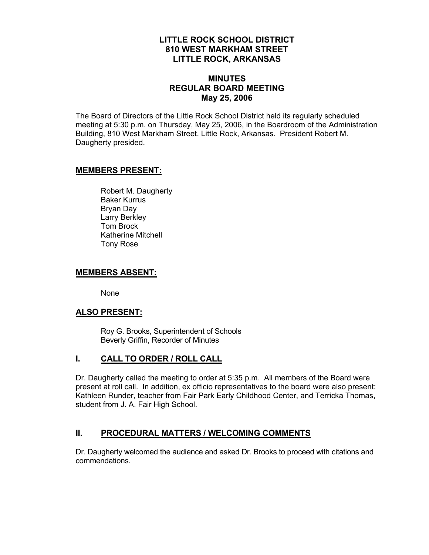## **LITTLE ROCK SCHOOL DISTRICT 810 WEST MARKHAM STREET LITTLE ROCK, ARKANSAS**

## **MINUTES REGULAR BOARD MEETING May 25, 2006**

The Board of Directors of the Little Rock School District held its regularly scheduled meeting at 5:30 p.m. on Thursday, May 25, 2006, in the Boardroom of the Administration Building, 810 West Markham Street, Little Rock, Arkansas. President Robert M. Daugherty presided.

#### **MEMBERS PRESENT:**

Robert M. Daugherty Baker Kurrus Bryan Day Larry Berkley Tom Brock Katherine Mitchell Tony Rose

#### **MEMBERS ABSENT:**

None

#### **ALSO PRESENT:**

 Roy G. Brooks, Superintendent of Schools Beverly Griffin, Recorder of Minutes

## **I. CALL TO ORDER / ROLL CALL**

Dr. Daugherty called the meeting to order at 5:35 p.m. All members of the Board were present at roll call. In addition, ex officio representatives to the board were also present: Kathleen Runder, teacher from Fair Park Early Childhood Center, and Terricka Thomas, student from J. A. Fair High School.

## **II. PROCEDURAL MATTERS / WELCOMING COMMENTS**

Dr. Daugherty welcomed the audience and asked Dr. Brooks to proceed with citations and commendations.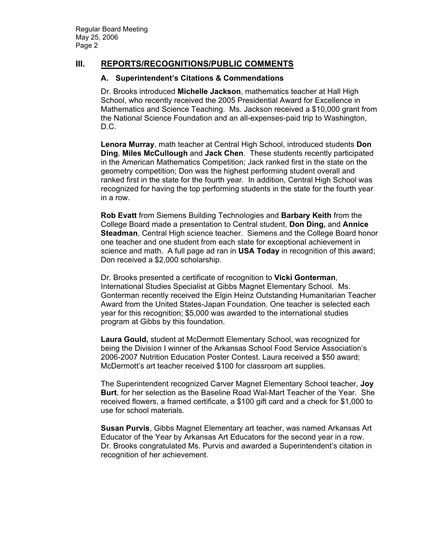## **III. REPORTS/RECOGNITIONS/PUBLIC COMMENTS**

#### **A. Superintendent's Citations & Commendations**

Dr. Brooks introduced **Michelle Jackson**, mathematics teacher at Hall High School, who recently received the 2005 Presidential Award for Excellence in Mathematics and Science Teaching. Ms. Jackson received a \$10,000 grant from the National Science Foundation and an all-expenses-paid trip to Washington, D.C.

**Lenora Murray**, math teacher at Central High School, introduced students **Don Ding**, **Miles McCullough** and **Jack Chen**. These students recently participated in the American Mathematics Competition; Jack ranked first in the state on the geometry competition; Don was the highest performing student overall and ranked first in the state for the fourth year. In addition, Central High School was recognized for having the top performing students in the state for the fourth year in a row.

**Rob Evatt** from Siemens Building Technologies and **Barbary Keith** from the College Board made a presentation to Central student, **Don Ding,** and **Annice Steadman**, Central High science teacher. Siemens and the College Board honor one teacher and one student from each state for exceptional achievement in science and math. A full page ad ran in **USA Today** in recognition of this award; Don received a \$2,000 scholarship.

Dr. Brooks presented a certificate of recognition to **Vicki Gonterman**, International Studies Specialist at Gibbs Magnet Elementary School. Ms. Gonterman recently received the Elgin Heinz Outstanding Humanitarian Teacher Award from the United States-Japan Foundation. One teacher is selected each year for this recognition; \$5,000 was awarded to the international studies program at Gibbs by this foundation.

**Laura Gould,** student at McDermott Elementary School, was recognized for being the Division I winner of the Arkansas School Food Service Association's 2006-2007 Nutrition Education Poster Contest. Laura received a \$50 award; McDermott's art teacher received \$100 for classroom art supplies.

The Superintendent recognized Carver Magnet Elementary School teacher, **Joy Burt**, for her selection as the Baseline Road Wal-Mart Teacher of the Year. She received flowers, a framed certificate, a \$100 gift card and a check for \$1,000 to use for school materials.

**Susan Purvis**, Gibbs Magnet Elementary art teacher, was named Arkansas Art Educator of the Year by Arkansas Art Educators for the second year in a row. Dr. Brooks congratulated Ms. Purvis and awarded a Superintendent's citation in recognition of her achievement.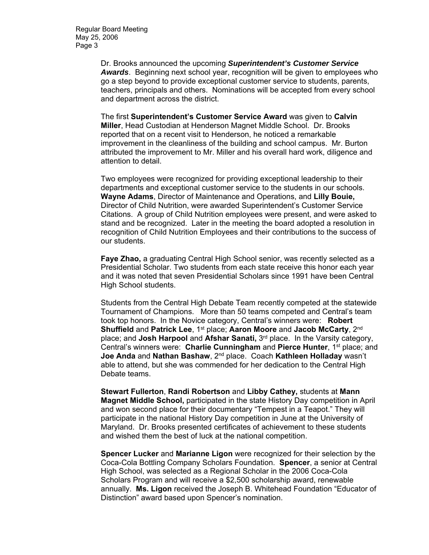Regular Board Meeting May 25, 2006 Page 3

> Dr. Brooks announced the upcoming *Superintendent's Customer Service Awards*. Beginning next school year, recognition will be given to employees who go a step beyond to provide exceptional customer service to students, parents, teachers, principals and others. Nominations will be accepted from every school and department across the district.

The first **Superintendent's Customer Service Award** was given to **Calvin Miller**, Head Custodian at Henderson Magnet Middle School. Dr. Brooks reported that on a recent visit to Henderson, he noticed a remarkable improvement in the cleanliness of the building and school campus. Mr. Burton attributed the improvement to Mr. Miller and his overall hard work, diligence and attention to detail.

Two employees were recognized for providing exceptional leadership to their departments and exceptional customer service to the students in our schools. **Wayne Adams**, Director of Maintenance and Operations, and **Lilly Bouie,**  Director of Child Nutrition, were awarded Superintendent's Customer Service Citations. A group of Child Nutrition employees were present, and were asked to stand and be recognized. Later in the meeting the board adopted a resolution in recognition of Child Nutrition Employees and their contributions to the success of our students.

**Faye Zhao,** a graduating Central High School senior, was recently selected as a Presidential Scholar. Two students from each state receive this honor each year and it was noted that seven Presidential Scholars since 1991 have been Central High School students.

Students from the Central High Debate Team recently competed at the statewide Tournament of Champions. More than 50 teams competed and Central's team took top honors. In the Novice category, Central's winners were: **Robert Shuffield and Patrick Lee**, 1<sup>st</sup> place; Aaron Moore and Jacob McCarty, 2<sup>nd</sup> place; and **Josh Harpool** and **Afshar Sanati,** 3rd place. In the Varsity category, Central's winners were: **Charlie Cunningham** and **Pierce Hunter**, 1st place; and **Joe Anda** and **Nathan Bashaw**, 2nd place. Coach **Kathleen Holladay** wasn't able to attend, but she was commended for her dedication to the Central High Debate teams.

**Stewart Fullerton**, **Randi Robertson** and **Libby Cathey,** students at **Mann Magnet Middle School,** participated in the state History Day competition in April and won second place for their documentary "Tempest in a Teapot." They will participate in the national History Day competition in June at the University of Maryland. Dr. Brooks presented certificates of achievement to these students and wished them the best of luck at the national competition.

**Spencer Lucker** and **Marianne Ligon** were recognized for their selection by the Coca-Cola Bottling Company Scholars Foundation. **Spencer**, a senior at Central High School, was selected as a Regional Scholar in the 2006 Coca-Cola Scholars Program and will receive a \$2,500 scholarship award, renewable annually. **Ms. Ligon** received the Joseph B. Whitehead Foundation "Educator of Distinction" award based upon Spencer's nomination.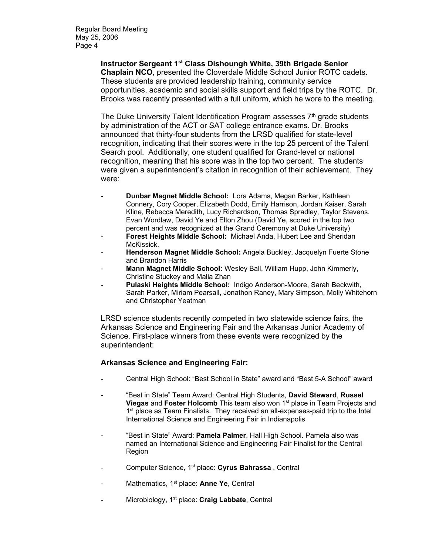**Instructor Sergeant 1st Class Dishoungh White, 39th Brigade Senior Chaplain NCO**, presented the Cloverdale Middle School Junior ROTC cadets. These students are provided leadership training, community service opportunities, academic and social skills support and field trips by the ROTC. Dr. Brooks was recently presented with a full uniform, which he wore to the meeting.

The Duke University Talent Identification Program assesses  $7<sup>th</sup>$  grade students by administration of the ACT or SAT college entrance exams. Dr. Brooks announced that thirty-four students from the LRSD qualified for state-level recognition, indicating that their scores were in the top 25 percent of the Talent Search pool. Additionally, one student qualified for Grand-level or national recognition, meaning that his score was in the top two percent. The students were given a superintendent's citation in recognition of their achievement. They were:

- **Dunbar Magnet Middle School:** Lora Adams, Megan Barker, Kathleen Connery, Cory Cooper, Elizabeth Dodd, Emily Harrison, Jordan Kaiser, Sarah Kline, Rebecca Meredith, Lucy Richardson, Thomas Spradley, Taylor Stevens, Evan Wordlaw, David Ye and Elton Zhou (David Ye, scored in the top two percent and was recognized at the Grand Ceremony at Duke University)
- **Forest Heights Middle School:** Michael Anda, Hubert Lee and Sheridan McKissick.
- **Henderson Magnet Middle School:** Angela Buckley, Jacquelyn Fuerte Stone and Brandon Harris
- **Mann Magnet Middle School:** Wesley Ball, William Hupp, John Kimmerly, Christine Stuckey and Malia Zhan
- Pulaski Heights Middle School: Indigo Anderson-Moore, Sarah Beckwith, Sarah Parker, Miriam Pearsall, Jonathon Raney, Mary Simpson, Molly Whitehorn and Christopher Yeatman

LRSD science students recently competed in two statewide science fairs, the Arkansas Science and Engineering Fair and the Arkansas Junior Academy of Science. First-place winners from these events were recognized by the superintendent:

#### **Arkansas Science and Engineering Fair:**

- Central High School: "Best School in State" award and "Best 5-A School" award
- "Best in State" Team Award: Central High Students, **David Steward**, **Russel Viegas** and **Foster Holcomb** This team also won 1<sup>st</sup> place in Team Projects and 1<sup>st</sup> place as Team Finalists. They received an all-expenses-paid trip to the Intel International Science and Engineering Fair in Indianapolis
- "Best in State" Award: Pamela Palmer, Hall High School. Pamela also was named an International Science and Engineering Fair Finalist for the Central Region
- Computer Science, 1st place: **Cyrus Bahrassa** , Central
- Mathematics, 1<sup>st</sup> place: **Anne Ye**, Central
- Microbiology, 1<sup>st</sup> place: **Craig Labbate**, Central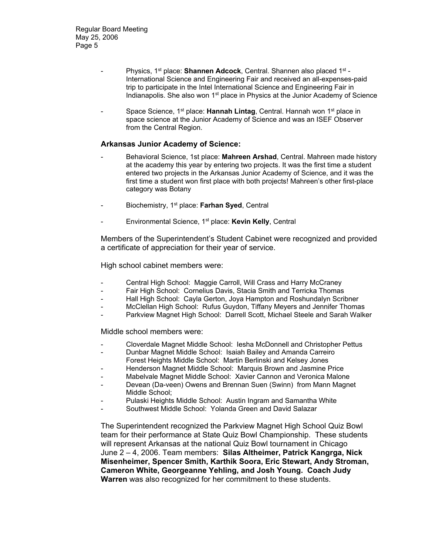- Physics, 1st place: **Shannen Adcock**, Central. Shannen also placed 1st International Science and Engineering Fair and received an all-expenses-paid trip to participate in the Intel International Science and Engineering Fair in Indianapolis. She also won  $1<sup>st</sup>$  place in Physics at the Junior Academy of Science
- Space Science, 1<sup>st</sup> place: Hannah Lintag, Central. Hannah won 1<sup>st</sup> place in space science at the Junior Academy of Science and was an ISEF Observer from the Central Region.

#### **Arkansas Junior Academy of Science:**

- Behavioral Science, 1st place: **Mahreen Arshad**, Central. Mahreen made history at the academy this year by entering two projects. It was the first time a student entered two projects in the Arkansas Junior Academy of Science, and it was the first time a student won first place with both projects! Mahreen's other first-place category was Botany
- Biochemistry, 1st place: **Farhan Syed**, Central
- Environmental Science, 1st place: **Kevin Kelly**, Central

Members of the Superintendent's Student Cabinet were recognized and provided a certificate of appreciation for their year of service.

High school cabinet members were:

- Central High School: Maggie Carroll, Will Crass and Harry McCraney
- Fair High School: Cornelius Davis, Stacia Smith and Terricka Thomas
- Hall High School: Cayla Gerton, Joya Hampton and Roshundalyn Scribner
- McClellan High School: Rufus Guydon, Tiffany Meyers and Jennifer Thomas
- Parkview Magnet High School: Darrell Scott, Michael Steele and Sarah Walker

Middle school members were:

- Cloverdale Magnet Middle School: Iesha McDonnell and Christopher Pettus
- Dunbar Magnet Middle School: Isaiah Bailey and Amanda Carreiro
- Forest Heights Middle School: Martin Berlinski and Kelsey Jones
- Henderson Magnet Middle School: Marquis Brown and Jasmine Price
- Mabelvale Magnet Middle School: Xavier Cannon and Veronica Malone
- Devean (Da-veen) Owens and Brennan Suen (Swinn) from Mann Magnet Middle School;
- Pulaski Heights Middle School: Austin Ingram and Samantha White
- Southwest Middle School: Yolanda Green and David Salazar

The Superintendent recognized the Parkview Magnet High School Quiz Bowl team for their performance at State Quiz Bowl Championship. These students will represent Arkansas at the national Quiz Bowl tournament in Chicago June 2 – 4, 2006. Team members: **Silas Altheimer, Patrick Kangrga, Nick Misenheimer, Spencer Smith, Karthik Soora, Eric Stewart, Andy Stroman, Cameron White, Georgeanne Yehling, and Josh Young. Coach Judy Warren** was also recognized for her commitment to these students.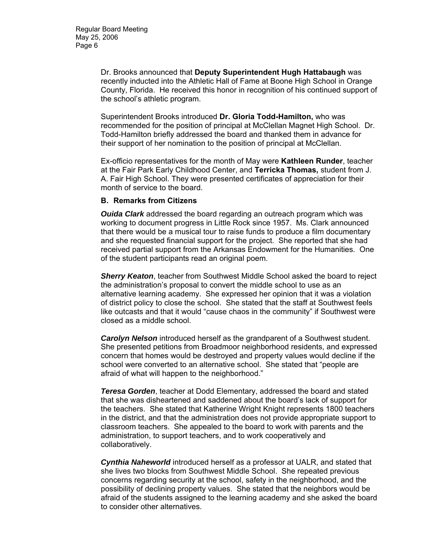Dr. Brooks announced that **Deputy Superintendent Hugh Hattabaugh** was recently inducted into the Athletic Hall of Fame at Boone High School in Orange County, Florida. He received this honor in recognition of his continued support of the school's athletic program.

Superintendent Brooks introduced **Dr. Gloria Todd-Hamilton,** who was recommended for the position of principal at McClellan Magnet High School. Dr. Todd-Hamilton briefly addressed the board and thanked them in advance for their support of her nomination to the position of principal at McClellan.

Ex-officio representatives for the month of May were **Kathleen Runder**, teacher at the Fair Park Early Childhood Center, and **Terricka Thomas,** student from J. A. Fair High School. They were presented certificates of appreciation for their month of service to the board.

#### **B. Remarks from Citizens**

*Ouida Clark* addressed the board regarding an outreach program which was working to document progress in Little Rock since 1957. Ms. Clark announced that there would be a musical tour to raise funds to produce a film documentary and she requested financial support for the project. She reported that she had received partial support from the Arkansas Endowment for the Humanities. One of the student participants read an original poem.

*Sherry Keaton*, teacher from Southwest Middle School asked the board to reject the administration's proposal to convert the middle school to use as an alternative learning academy. She expressed her opinion that it was a violation of district policy to close the school. She stated that the staff at Southwest feels like outcasts and that it would "cause chaos in the community" if Southwest were closed as a middle school.

*Carolyn Nelson* introduced herself as the grandparent of a Southwest student. She presented petitions from Broadmoor neighborhood residents, and expressed concern that homes would be destroyed and property values would decline if the school were converted to an alternative school. She stated that "people are afraid of what will happen to the neighborhood."

*Teresa Gorden*, teacher at Dodd Elementary, addressed the board and stated that she was disheartened and saddened about the board's lack of support for the teachers. She stated that Katherine Wright Knight represents 1800 teachers in the district, and that the administration does not provide appropriate support to classroom teachers. She appealed to the board to work with parents and the administration, to support teachers, and to work cooperatively and collaboratively.

*Cynthia Naheworld* introduced herself as a professor at UALR, and stated that she lives two blocks from Southwest Middle School. She repeated previous concerns regarding security at the school, safety in the neighborhood, and the possibility of declining property values. She stated that the neighbors would be afraid of the students assigned to the learning academy and she asked the board to consider other alternatives.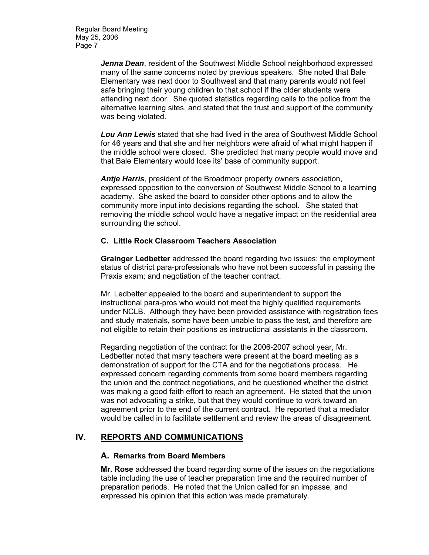Regular Board Meeting May 25, 2006 Page 7

> *Jenna Dean*, resident of the Southwest Middle School neighborhood expressed many of the same concerns noted by previous speakers. She noted that Bale Elementary was next door to Southwest and that many parents would not feel safe bringing their young children to that school if the older students were attending next door. She quoted statistics regarding calls to the police from the alternative learning sites, and stated that the trust and support of the community was being violated.

*Lou Ann Lewis* stated that she had lived in the area of Southwest Middle School for 46 years and that she and her neighbors were afraid of what might happen if the middle school were closed. She predicted that many people would move and that Bale Elementary would lose its' base of community support.

*Antje Harris*, president of the Broadmoor property owners association, expressed opposition to the conversion of Southwest Middle School to a learning academy. She asked the board to consider other options and to allow the community more input into decisions regarding the school. She stated that removing the middle school would have a negative impact on the residential area surrounding the school.

#### **C. Little Rock Classroom Teachers Association**

**Grainger Ledbetter** addressed the board regarding two issues: the employment status of district para-professionals who have not been successful in passing the Praxis exam; and negotiation of the teacher contract.

Mr. Ledbetter appealed to the board and superintendent to support the instructional para-pros who would not meet the highly qualified requirements under NCLB. Although they have been provided assistance with registration fees and study materials, some have been unable to pass the test, and therefore are not eligible to retain their positions as instructional assistants in the classroom.

Regarding negotiation of the contract for the 2006-2007 school year, Mr. Ledbetter noted that many teachers were present at the board meeting as a demonstration of support for the CTA and for the negotiations process. He expressed concern regarding comments from some board members regarding the union and the contract negotiations, and he questioned whether the district was making a good faith effort to reach an agreement. He stated that the union was not advocating a strike, but that they would continue to work toward an agreement prior to the end of the current contract. He reported that a mediator would be called in to facilitate settlement and review the areas of disagreement.

# **IV. REPORTS AND COMMUNICATIONS**

#### **A. Remarks from Board Members**

**Mr. Rose** addressed the board regarding some of the issues on the negotiations table including the use of teacher preparation time and the required number of preparation periods. He noted that the Union called for an impasse, and expressed his opinion that this action was made prematurely.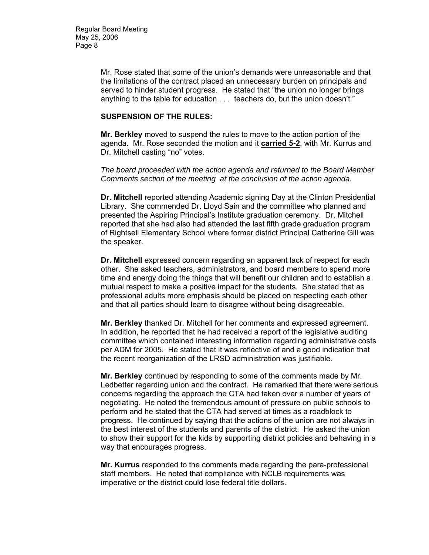Mr. Rose stated that some of the union's demands were unreasonable and that the limitations of the contract placed an unnecessary burden on principals and served to hinder student progress. He stated that "the union no longer brings anything to the table for education . . . teachers do, but the union doesn't."

#### **SUSPENSION OF THE RULES:**

**Mr. Berkley** moved to suspend the rules to move to the action portion of the agenda. Mr. Rose seconded the motion and it **carried 5-2**, with Mr. Kurrus and Dr. Mitchell casting "no" votes.

*The board proceeded with the action agenda and returned to the Board Member Comments section of the meeting at the conclusion of the action agenda.* 

**Dr. Mitchell** reported attending Academic signing Day at the Clinton Presidential Library. She commended Dr. Lloyd Sain and the committee who planned and presented the Aspiring Principal's Institute graduation ceremony. Dr. Mitchell reported that she had also had attended the last fifth grade graduation program of Rightsell Elementary School where former district Principal Catherine Gill was the speaker.

**Dr. Mitchell** expressed concern regarding an apparent lack of respect for each other. She asked teachers, administrators, and board members to spend more time and energy doing the things that will benefit our children and to establish a mutual respect to make a positive impact for the students. She stated that as professional adults more emphasis should be placed on respecting each other and that all parties should learn to disagree without being disagreeable.

**Mr. Berkley** thanked Dr. Mitchell for her comments and expressed agreement. In addition, he reported that he had received a report of the legislative auditing committee which contained interesting information regarding administrative costs per ADM for 2005. He stated that it was reflective of and a good indication that the recent reorganization of the LRSD administration was justifiable.

**Mr. Berkley** continued by responding to some of the comments made by Mr. Ledbetter regarding union and the contract. He remarked that there were serious concerns regarding the approach the CTA had taken over a number of years of negotiating. He noted the tremendous amount of pressure on public schools to perform and he stated that the CTA had served at times as a roadblock to progress. He continued by saying that the actions of the union are not always in the best interest of the students and parents of the district. He asked the union to show their support for the kids by supporting district policies and behaving in a way that encourages progress.

**Mr. Kurrus** responded to the comments made regarding the para-professional staff members. He noted that compliance with NCLB requirements was imperative or the district could lose federal title dollars.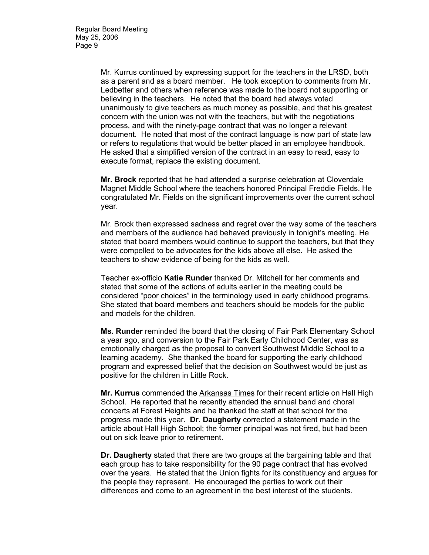Mr. Kurrus continued by expressing support for the teachers in the LRSD, both as a parent and as a board member. He took exception to comments from Mr. Ledbetter and others when reference was made to the board not supporting or believing in the teachers. He noted that the board had always voted unanimously to give teachers as much money as possible, and that his greatest concern with the union was not with the teachers, but with the negotiations process, and with the ninety-page contract that was no longer a relevant document. He noted that most of the contract language is now part of state law or refers to regulations that would be better placed in an employee handbook. He asked that a simplified version of the contract in an easy to read, easy to execute format, replace the existing document.

**Mr. Brock** reported that he had attended a surprise celebration at Cloverdale Magnet Middle School where the teachers honored Principal Freddie Fields. He congratulated Mr. Fields on the significant improvements over the current school year.

Mr. Brock then expressed sadness and regret over the way some of the teachers and members of the audience had behaved previously in tonight's meeting. He stated that board members would continue to support the teachers, but that they were compelled to be advocates for the kids above all else. He asked the teachers to show evidence of being for the kids as well.

Teacher ex-officio **Katie Runder** thanked Dr. Mitchell for her comments and stated that some of the actions of adults earlier in the meeting could be considered "poor choices" in the terminology used in early childhood programs. She stated that board members and teachers should be models for the public and models for the children.

**Ms. Runder** reminded the board that the closing of Fair Park Elementary School a year ago, and conversion to the Fair Park Early Childhood Center, was as emotionally charged as the proposal to convert Southwest Middle School to a learning academy. She thanked the board for supporting the early childhood program and expressed belief that the decision on Southwest would be just as positive for the children in Little Rock.

**Mr. Kurrus** commended the Arkansas Times for their recent article on Hall High School. He reported that he recently attended the annual band and choral concerts at Forest Heights and he thanked the staff at that school for the progress made this year. **Dr. Daugherty** corrected a statement made in the article about Hall High School; the former principal was not fired, but had been out on sick leave prior to retirement.

**Dr. Daugherty** stated that there are two groups at the bargaining table and that each group has to take responsibility for the 90 page contract that has evolved over the years. He stated that the Union fights for its constituency and argues for the people they represent. He encouraged the parties to work out their differences and come to an agreement in the best interest of the students.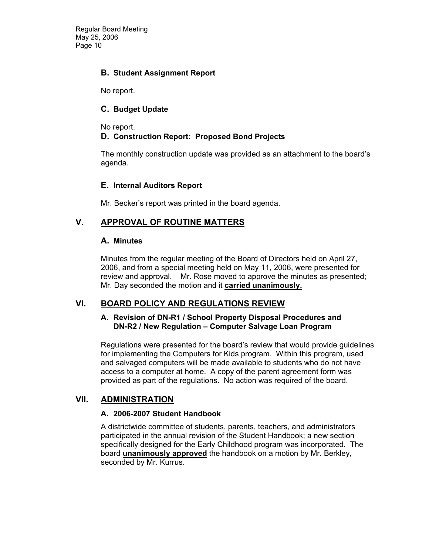Regular Board Meeting May 25, 2006 Page 10

### **B. Student Assignment Report**

No report.

### **C. Budget Update**

No report.

### **D. Construction Report: Proposed Bond Projects**

The monthly construction update was provided as an attachment to the board's agenda.

### **E. Internal Auditors Report**

Mr. Becker's report was printed in the board agenda.

## **V. APPROVAL OF ROUTINE MATTERS**

#### **A. Minutes**

Minutes from the regular meeting of the Board of Directors held on April 27, 2006, and from a special meeting held on May 11, 2006, were presented for review and approval. Mr. Rose moved to approve the minutes as presented; Mr. Day seconded the motion and it **carried unanimously.** 

## **VI. BOARD POLICY AND REGULATIONS REVIEW**

#### **A. Revision of DN-R1 / School Property Disposal Procedures and DN-R2 / New Regulation – Computer Salvage Loan Program**

Regulations were presented for the board's review that would provide guidelines for implementing the Computers for Kids program. Within this program, used and salvaged computers will be made available to students who do not have access to a computer at home. A copy of the parent agreement form was provided as part of the regulations. No action was required of the board.

## **VII. ADMINISTRATION**

#### **A. 2006-2007 Student Handbook**

A districtwide committee of students, parents, teachers, and administrators participated in the annual revision of the Student Handbook; a new section specifically designed for the Early Childhood program was incorporated. The board **unanimously approved** the handbook on a motion by Mr. Berkley, seconded by Mr. Kurrus.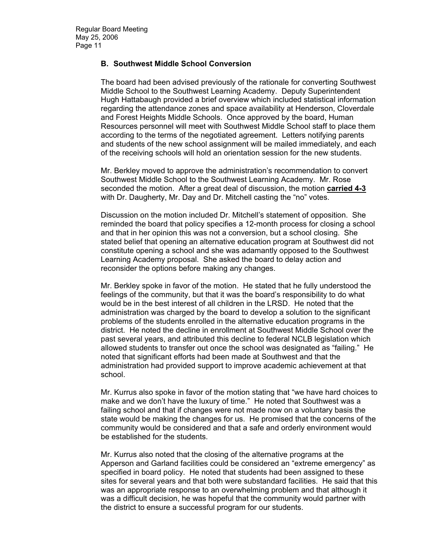### **B. Southwest Middle School Conversion**

The board had been advised previously of the rationale for converting Southwest Middle School to the Southwest Learning Academy. Deputy Superintendent Hugh Hattabaugh provided a brief overview which included statistical information regarding the attendance zones and space availability at Henderson, Cloverdale and Forest Heights Middle Schools. Once approved by the board, Human Resources personnel will meet with Southwest Middle School staff to place them according to the terms of the negotiated agreement. Letters notifying parents and students of the new school assignment will be mailed immediately, and each of the receiving schools will hold an orientation session for the new students.

Mr. Berkley moved to approve the administration's recommendation to convert Southwest Middle School to the Southwest Learning Academy. Mr. Rose seconded the motion. After a great deal of discussion, the motion **carried 4-3** with Dr. Daugherty, Mr. Day and Dr. Mitchell casting the "no" votes.

Discussion on the motion included Dr. Mitchell's statement of opposition. She reminded the board that policy specifies a 12-month process for closing a school and that in her opinion this was not a conversion, but a school closing. She stated belief that opening an alternative education program at Southwest did not constitute opening a school and she was adamantly opposed to the Southwest Learning Academy proposal. She asked the board to delay action and reconsider the options before making any changes.

Mr. Berkley spoke in favor of the motion. He stated that he fully understood the feelings of the community, but that it was the board's responsibility to do what would be in the best interest of all children in the LRSD. He noted that the administration was charged by the board to develop a solution to the significant problems of the students enrolled in the alternative education programs in the district. He noted the decline in enrollment at Southwest Middle School over the past several years, and attributed this decline to federal NCLB legislation which allowed students to transfer out once the school was designated as "failing." He noted that significant efforts had been made at Southwest and that the administration had provided support to improve academic achievement at that school.

Mr. Kurrus also spoke in favor of the motion stating that "we have hard choices to make and we don't have the luxury of time." He noted that Southwest was a failing school and that if changes were not made now on a voluntary basis the state would be making the changes for us. He promised that the concerns of the community would be considered and that a safe and orderly environment would be established for the students.

Mr. Kurrus also noted that the closing of the alternative programs at the Apperson and Garland facilities could be considered an "extreme emergency" as specified in board policy. He noted that students had been assigned to these sites for several years and that both were substandard facilities. He said that this was an appropriate response to an overwhelming problem and that although it was a difficult decision, he was hopeful that the community would partner with the district to ensure a successful program for our students.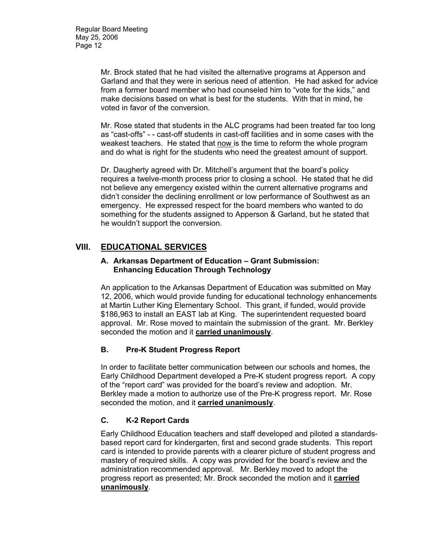Mr. Brock stated that he had visited the alternative programs at Apperson and Garland and that they were in serious need of attention. He had asked for advice from a former board member who had counseled him to "vote for the kids," and make decisions based on what is best for the students. With that in mind, he voted in favor of the conversion.

Mr. Rose stated that students in the ALC programs had been treated far too long as "cast-offs" - - cast-off students in cast-off facilities and in some cases with the weakest teachers. He stated that now is the time to reform the whole program and do what is right for the students who need the greatest amount of support.

Dr. Daugherty agreed with Dr. Mitchell's argument that the board's policy requires a twelve-month process prior to closing a school. He stated that he did not believe any emergency existed within the current alternative programs and didn't consider the declining enrollment or low performance of Southwest as an emergency. He expressed respect for the board members who wanted to do something for the students assigned to Apperson & Garland, but he stated that he wouldn't support the conversion.

# **VIII. EDUCATIONAL SERVICES**

### **A. Arkansas Department of Education – Grant Submission: Enhancing Education Through Technology**

An application to the Arkansas Department of Education was submitted on May 12, 2006, which would provide funding for educational technology enhancements at Martin Luther King Elementary School. This grant, if funded, would provide \$186,963 to install an EAST lab at King. The superintendent requested board approval. Mr. Rose moved to maintain the submission of the grant. Mr. Berkley seconded the motion and it **carried unanimously**.

# **B. Pre-K Student Progress Report**

In order to facilitate better communication between our schools and homes, the Early Childhood Department developed a Pre-K student progress report. A copy of the "report card" was provided for the board's review and adoption. Mr. Berkley made a motion to authorize use of the Pre-K progress report. Mr. Rose seconded the motion, and it **carried unanimously**.

# **C. K-2 Report Cards**

Early Childhood Education teachers and staff developed and piloted a standardsbased report card for kindergarten, first and second grade students. This report card is intended to provide parents with a clearer picture of student progress and mastery of required skills. A copy was provided for the board's review and the administration recommended approval. Mr. Berkley moved to adopt the progress report as presented; Mr. Brock seconded the motion and it **carried unanimously**.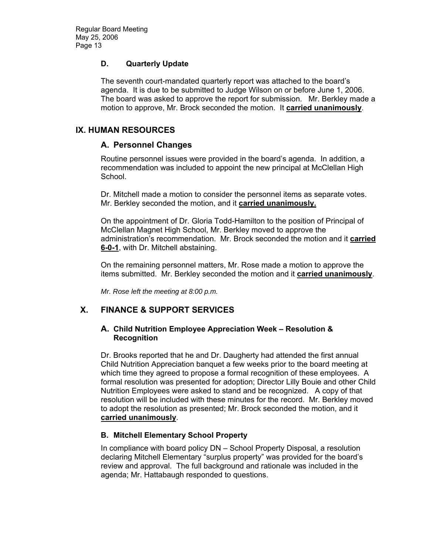### **D. Quarterly Update**

The seventh court-mandated quarterly report was attached to the board's agenda. It is due to be submitted to Judge Wilson on or before June 1, 2006. The board was asked to approve the report for submission. Mr. Berkley made a motion to approve, Mr. Brock seconded the motion. It **carried unanimously**.

## **IX. HUMAN RESOURCES**

## **A. Personnel Changes**

Routine personnel issues were provided in the board's agenda. In addition, a recommendation was included to appoint the new principal at McClellan High School.

Dr. Mitchell made a motion to consider the personnel items as separate votes. Mr. Berkley seconded the motion, and it **carried unanimously.** 

On the appointment of Dr. Gloria Todd-Hamilton to the position of Principal of McClellan Magnet High School, Mr. Berkley moved to approve the administration's recommendation. Mr. Brock seconded the motion and it **carried 6-0-1**, with Dr. Mitchell abstaining.

On the remaining personnel matters, Mr. Rose made a motion to approve the items submitted. Mr. Berkley seconded the motion and it **carried unanimously**.

*Mr. Rose left the meeting at 8:00 p.m.* 

# **X. FINANCE & SUPPORT SERVICES**

#### **A. Child Nutrition Employee Appreciation Week – Resolution & Recognition**

Dr. Brooks reported that he and Dr. Daugherty had attended the first annual Child Nutrition Appreciation banquet a few weeks prior to the board meeting at which time they agreed to propose a formal recognition of these employees. A formal resolution was presented for adoption; Director Lilly Bouie and other Child Nutrition Employees were asked to stand and be recognized. A copy of that resolution will be included with these minutes for the record. Mr. Berkley moved to adopt the resolution as presented; Mr. Brock seconded the motion, and it **carried unanimously**.

## **B. Mitchell Elementary School Property**

In compliance with board policy DN – School Property Disposal, a resolution declaring Mitchell Elementary "surplus property" was provided for the board's review and approval. The full background and rationale was included in the agenda; Mr. Hattabaugh responded to questions.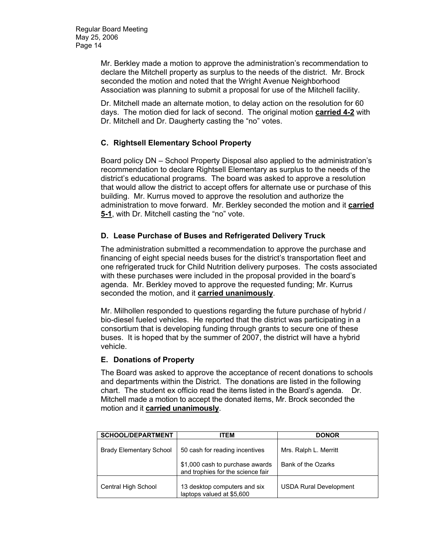Mr. Berkley made a motion to approve the administration's recommendation to declare the Mitchell property as surplus to the needs of the district. Mr. Brock seconded the motion and noted that the Wright Avenue Neighborhood Association was planning to submit a proposal for use of the Mitchell facility.

Dr. Mitchell made an alternate motion, to delay action on the resolution for 60 days. The motion died for lack of second. The original motion **carried 4-2** with Dr. Mitchell and Dr. Daugherty casting the "no" votes.

## **C. Rightsell Elementary School Property**

Board policy DN – School Property Disposal also applied to the administration's recommendation to declare Rightsell Elementary as surplus to the needs of the district's educational programs. The board was asked to approve a resolution that would allow the district to accept offers for alternate use or purchase of this building. Mr. Kurrus moved to approve the resolution and authorize the administration to move forward. Mr. Berkley seconded the motion and it **carried 5-1**, with Dr. Mitchell casting the "no" vote.

## **D. Lease Purchase of Buses and Refrigerated Delivery Truck**

The administration submitted a recommendation to approve the purchase and financing of eight special needs buses for the district's transportation fleet and one refrigerated truck for Child Nutrition delivery purposes. The costs associated with these purchases were included in the proposal provided in the board's agenda. Mr. Berkley moved to approve the requested funding; Mr. Kurrus seconded the motion, and it **carried unanimously**.

Mr. Milhollen responded to questions regarding the future purchase of hybrid / bio-diesel fueled vehicles. He reported that the district was participating in a consortium that is developing funding through grants to secure one of these buses. It is hoped that by the summer of 2007, the district will have a hybrid vehicle.

#### **E. Donations of Property**

The Board was asked to approve the acceptance of recent donations to schools and departments within the District. The donations are listed in the following chart. The student ex officio read the items listed in the Board's agenda. Dr. Mitchell made a motion to accept the donated items, Mr. Brock seconded the motion and it **carried unanimously**.

| <b>SCHOOL/DEPARTMENT</b>       | ITEM                                                                 | <b>DONOR</b>                  |
|--------------------------------|----------------------------------------------------------------------|-------------------------------|
| <b>Brady Elementary School</b> | 50 cash for reading incentives                                       | Mrs. Ralph L. Merritt         |
|                                | \$1,000 cash to purchase awards<br>and trophies for the science fair | Bank of the Ozarks            |
| Central High School            | 13 desktop computers and six<br>laptops valued at \$5,600            | <b>USDA Rural Development</b> |